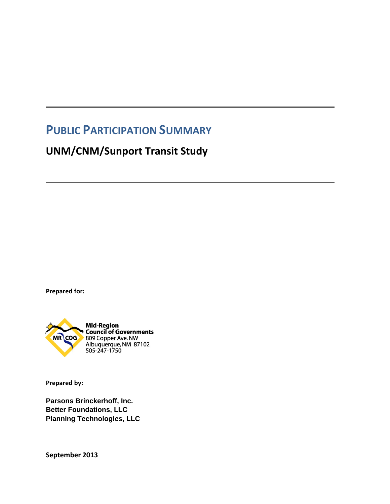# **PUBLIC PARTICIPATION SUMMARY**

# **UNM/CNM/Sunport Transit Study**

**Prepared for:**



**Prepared by:** 

**Parsons Brinckerhoff, Inc. Better Foundations, LLC Planning Technologies, LLC** 

**September 2013**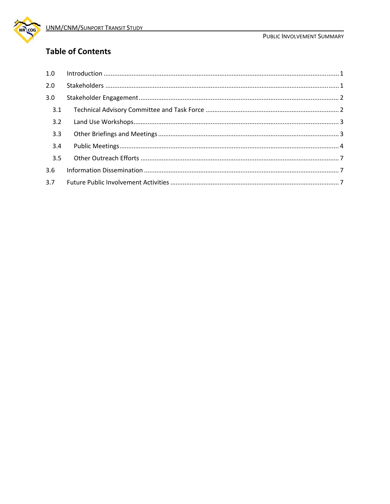

## **Table of Contents**

| 1.0 | $\label{eq:1} \mbox{Introduction} \,\, \ldots \,\, \ldots \,\, \ldots \,\, \ldots \,\, \ldots \,\, \ldots \,\, \ldots \,\, \ldots \,\, \ldots \,\, \ldots \,\, \ldots \,\, \ldots \,\, \ldots \,\, \ldots \,\, \ldots \,\, \ldots \,\, \ldots \,\, \ldots \,\, \ldots \,\, \ldots \,\, \ldots \,\, \ldots \,\, \ldots \,\, \ldots \,\, \ldots \,\, \ldots \,\, \ldots \,\, \ldots \,\, \ldots \,\, \ldots \,\, \ldots \,\, \ldots \,\, \ldots \,\, \ldots \,\,$ |  |
|-----|-----------------------------------------------------------------------------------------------------------------------------------------------------------------------------------------------------------------------------------------------------------------------------------------------------------------------------------------------------------------------------------------------------------------------------------------------------------------|--|
| 2.0 |                                                                                                                                                                                                                                                                                                                                                                                                                                                                 |  |
| 3.0 |                                                                                                                                                                                                                                                                                                                                                                                                                                                                 |  |
| 3.1 |                                                                                                                                                                                                                                                                                                                                                                                                                                                                 |  |
| 3.2 |                                                                                                                                                                                                                                                                                                                                                                                                                                                                 |  |
| 3.3 |                                                                                                                                                                                                                                                                                                                                                                                                                                                                 |  |
| 3.4 |                                                                                                                                                                                                                                                                                                                                                                                                                                                                 |  |
| 3.5 |                                                                                                                                                                                                                                                                                                                                                                                                                                                                 |  |
| 3.6 |                                                                                                                                                                                                                                                                                                                                                                                                                                                                 |  |
| 3.7 |                                                                                                                                                                                                                                                                                                                                                                                                                                                                 |  |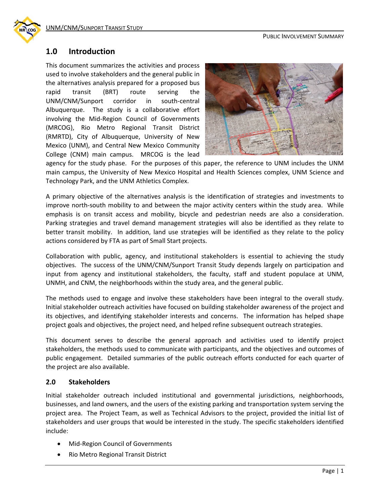

#### **1.0 Introduction**

This document summarizes the activities and process used to involve stakeholders and the general public in the alternatives analysis prepared for a proposed bus rapid transit (BRT) route serving the UNM/CNM/Sunport corridor in south‐central Albuquerque. The study is a collaborative effort involving the Mid‐Region Council of Governments (MRCOG), Rio Metro Regional Transit District (RMRTD), City of Albuquerque, University of New Mexico (UNM), and Central New Mexico Community College (CNM) main campus. MRCOG is the lead



agency for the study phase. For the purposes of this paper, the reference to UNM includes the UNM main campus, the University of New Mexico Hospital and Health Sciences complex, UNM Science and Technology Park, and the UNM Athletics Complex.

A primary objective of the alternatives analysis is the identification of strategies and investments to improve north-south mobility to and between the major activity centers within the study area. While emphasis is on transit access and mobility, bicycle and pedestrian needs are also a consideration. Parking strategies and travel demand management strategies will also be identified as they relate to better transit mobility. In addition, land use strategies will be identified as they relate to the policy actions considered by FTA as part of Small Start projects.

Collaboration with public, agency, and institutional stakeholders is essential to achieving the study objectives. The success of the UNM/CNM/Sunport Transit Study depends largely on participation and input from agency and institutional stakeholders, the faculty, staff and student populace at UNM, UNMH, and CNM, the neighborhoods within the study area, and the general public.

The methods used to engage and involve these stakeholders have been integral to the overall study. Initial stakeholder outreach activities have focused on building stakeholder awareness of the project and its objectives, and identifying stakeholder interests and concerns. The information has helped shape project goals and objectives, the project need, and helped refine subsequent outreach strategies.

This document serves to describe the general approach and activities used to identify project stakeholders, the methods used to communicate with participants, and the objectives and outcomes of public engagement. Detailed summaries of the public outreach efforts conducted for each quarter of the project are also available.

#### **2.0 Stakeholders**

Initial stakeholder outreach included institutional and governmental jurisdictions, neighborhoods, businesses, and land owners, and the users of the existing parking and transportation system serving the project area. The Project Team, as well as Technical Advisors to the project, provided the initial list of stakeholders and user groups that would be interested in the study. The specific stakeholders identified include:

- Mid-Region Council of Governments
- Rio Metro Regional Transit District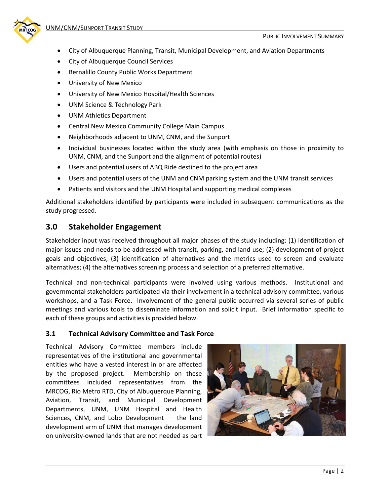

- City of Albuquerque Planning, Transit, Municipal Development, and Aviation Departments
- City of Albuquerque Council Services
- Bernalillo County Public Works Department
- University of New Mexico
- University of New Mexico Hospital/Health Sciences
- UNM Science & Technology Park
- UNM Athletics Department
- Central New Mexico Community College Main Campus
- Neighborhoods adjacent to UNM, CNM, and the Sunport
- Individual businesses located within the study area (with emphasis on those in proximity to UNM, CNM, and the Sunport and the alignment of potential routes)
- Users and potential users of ABQ Ride destined to the project area
- Users and potential users of the UNM and CNM parking system and the UNM transit services
- Patients and visitors and the UNM Hospital and supporting medical complexes

Additional stakeholders identified by participants were included in subsequent communications as the study progressed.

## **3.0 Stakeholder Engagement**

Stakeholder input was received throughout all major phases of the study including: (1) identification of major issues and needs to be addressed with transit, parking, and land use; (2) development of project goals and objectives; (3) identification of alternatives and the metrics used to screen and evaluate alternatives; (4) the alternatives screening process and selection of a preferred alternative.

Technical and non-technical participants were involved using various methods. Institutional and governmental stakeholders participated via their involvement in a technical advisory committee, various workshops, and a Task Force. Involvement of the general public occurred via several series of public meetings and various tools to disseminate information and solicit input. Brief information specific to each of these groups and activities is provided below.

#### **3.1 Technical Advisory Committee and Task Force**

Technical Advisory Committee members include representatives of the institutional and governmental entities who have a vested interest in or are affected by the proposed project. Membership on these committees included representatives from the MRCOG, Rio Metro RTD, City of Albuquerque Planning, Aviation, Transit, and Municipal Development Departments, UNM, UNM Hospital and Health Sciences, CNM, and Lobo Development — the land development arm of UNM that manages development on university‐owned lands that are not needed as part

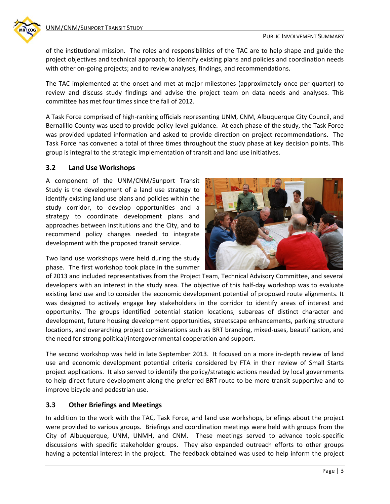of the institutional mission. The roles and responsibilities of the TAC are to help shape and guide the project objectives and technical approach; to identify existing plans and policies and coordination needs with other on-going projects; and to review analyses, findings, and recommendations.

The TAC implemented at the onset and met at major milestones (approximately once per quarter) to review and discuss study findings and advise the project team on data needs and analyses. This committee has met four times since the fall of 2012.

A Task Force comprised of high‐ranking officials representing UNM, CNM, Albuquerque City Council, and Bernalillo County was used to provide policy-level guidance. At each phase of the study, the Task Force was provided updated information and asked to provide direction on project recommendations. The Task Force has convened a total of three times throughout the study phase at key decision points. This group is integral to the strategic implementation of transit and land use initiatives.

#### **3.2 Land Use Workshops**

A component of the UNM/CNM/Sunport Transit Study is the development of a land use strategy to identify existing land use plans and policies within the study corridor, to develop opportunities and a strategy to coordinate development plans and approaches between institutions and the City, and to recommend policy changes needed to integrate development with the proposed transit service.

Two land use workshops were held during the study phase. The first workshop took place in the summer



of 2013 and included representatives from the Project Team, Technical Advisory Committee, and several developers with an interest in the study area. The objective of this half‐day workshop was to evaluate existing land use and to consider the economic development potential of proposed route alignments. It was designed to actively engage key stakeholders in the corridor to identify areas of interest and opportunity. The groups identified potential station locations, subareas of distinct character and development, future housing development opportunities, streetscape enhancements, parking structure locations, and overarching project considerations such as BRT branding, mixed-uses, beautification, and the need for strong political/intergovernmental cooperation and support.

The second workshop was held in late September 2013. It focused on a more in‐depth review of land use and economic development potential criteria considered by FTA in their review of Small Starts project applications. It also served to identify the policy/strategic actions needed by local governments to help direct future development along the preferred BRT route to be more transit supportive and to improve bicycle and pedestrian use.

#### **3.3 Other Briefings and Meetings**

In addition to the work with the TAC, Task Force, and land use workshops, briefings about the project were provided to various groups. Briefings and coordination meetings were held with groups from the City of Albuquerque, UNM, UNMH, and CNM. These meetings served to advance topic‐specific discussions with specific stakeholder groups. They also expanded outreach efforts to other groups having a potential interest in the project. The feedback obtained was used to help inform the project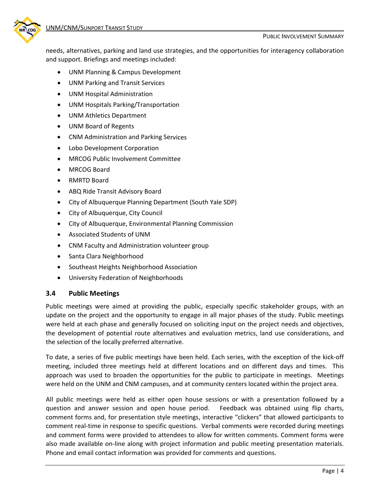

needs, alternatives, parking and land use strategies, and the opportunities for interagency collaboration and support. Briefings and meetings included:

- UNM Planning & Campus Development
- UNM Parking and Transit Services
- UNM Hospital Administration
- UNM Hospitals Parking/Transportation
- UNM Athletics Department
- UNM Board of Regents
- CNM Administration and Parking Services
- Lobo Development Corporation
- MRCOG Public Involvement Committee
- MRCOG Board
- RMRTD Board
- ABQ Ride Transit Advisory Board
- City of Albuquerque Planning Department (South Yale SDP)
- City of Albuquerque, City Council
- City of Albuquerque, Environmental Planning Commission
- Associated Students of UNM
- CNM Faculty and Administration volunteer group
- Santa Clara Neighborhood
- Southeast Heights Neighborhood Association
- University Federation of Neighborhoods

#### **3.4 Public Meetings**

Public meetings were aimed at providing the public, especially specific stakeholder groups, with an update on the project and the opportunity to engage in all major phases of the study. Public meetings were held at each phase and generally focused on soliciting input on the project needs and objectives, the development of potential route alternatives and evaluation metrics, land use considerations, and the selection of the locally preferred alternative.

To date, a series of five public meetings have been held. Each series, with the exception of the kick‐off meeting, included three meetings held at different locations and on different days and times. This approach was used to broaden the opportunities for the public to participate in meetings. Meetings were held on the UNM and CNM campuses, and at community centers located within the project area.

All public meetings were held as either open house sessions or with a presentation followed by a question and answer session and open house period. Feedback was obtained using flip charts, comment forms and, for presentation style meetings, interactive "clickers" that allowed participants to comment real-time in response to specific questions. Verbal comments were recorded during meetings and comment forms were provided to attendees to allow for written comments. Comment forms were also made available on-line along with project information and public meeting presentation materials. Phone and email contact information was provided for comments and questions.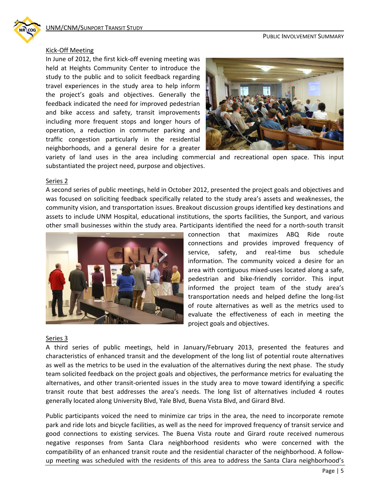# Kick‐Off Meeting

In June of 2012, the first kick‐off evening meeting was held at Heights Community Center to introduce the study to the public and to solicit feedback regarding travel experiences in the study area to help inform the project's goals and objectives. Generally the feedback indicated the need for improved pedestrian and bike access and safety, transit improvements including more frequent stops and longer hours of operation, a reduction in commuter parking and traffic congestion particularly in the residential neighborhoods, and a general desire for a greater



variety of land uses in the area including commercial and recreational open space. This input substantiated the project need, purpose and objectives.

#### Series 2

A second series of public meetings, held in October 2012, presented the project goals and objectives and was focused on soliciting feedback specifically related to the study area's assets and weaknesses, the community vision, and transportation issues. Breakout discussion groups identified key destinations and assets to include UNM Hospital, educational institutions, the sports facilities, the Sunport, and various other small businesses within the study area. Participants identified the need for a north‐south transit



connection that maximizes ABQ Ride route connections and provides improved frequency of service, safety, and real-time bus schedule information. The community voiced a desire for an area with contiguous mixed‐uses located along a safe, pedestrian and bike‐friendly corridor. This input informed the project team of the study area's transportation needs and helped define the long‐list of route alternatives as well as the metrics used to evaluate the effectiveness of each in meeting the project goals and objectives.

#### Series 3

A third series of public meetings, held in January/February 2013, presented the features and characteristics of enhanced transit and the development of the long list of potential route alternatives as well as the metrics to be used in the evaluation of the alternatives during the next phase. The study team solicited feedback on the project goals and objectives, the performance metrics for evaluating the alternatives, and other transit‐oriented issues in the study area to move toward identifying a specific transit route that best addresses the area's needs. The long list of alternatives included 4 routes generally located along University Blvd, Yale Blvd, Buena Vista Blvd, and Girard Blvd.

Public participants voiced the need to minimize car trips in the area, the need to incorporate remote park and ride lots and bicycle facilities, as well as the need for improved frequency of transit service and good connections to existing services. The Buena Vista route and Girard route received numerous negative responses from Santa Clara neighborhood residents who were concerned with the compatibility of an enhanced transit route and the residential character of the neighborhood. A follow‐ up meeting was scheduled with the residents of this area to address the Santa Clara neighborhood's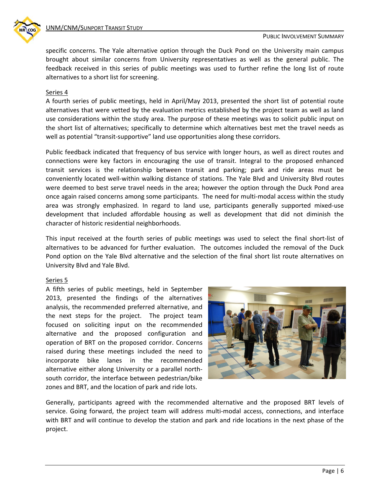

specific concerns. The Yale alternative option through the Duck Pond on the University main campus brought about similar concerns from University representatives as well as the general public. The feedback received in this series of public meetings was used to further refine the long list of route alternatives to a short list for screening.

#### Series 4

A fourth series of public meetings, held in April/May 2013, presented the short list of potential route alternatives that were vetted by the evaluation metrics established by the project team as well as land use considerations within the study area. The purpose of these meetings was to solicit public input on the short list of alternatives; specifically to determine which alternatives best met the travel needs as well as potential "transit-supportive" land use opportunities along these corridors.

Public feedback indicated that frequency of bus service with longer hours, as well as direct routes and connections were key factors in encouraging the use of transit. Integral to the proposed enhanced transit services is the relationship between transit and parking; park and ride areas must be conveniently located well-within walking distance of stations. The Yale Blvd and University Blvd routes were deemed to best serve travel needs in the area; however the option through the Duck Pond area once again raised concerns among some participants. The need for multi-modal access within the study area was strongly emphasized. In regard to land use, participants generally supported mixed-use development that included affordable housing as well as development that did not diminish the character of historic residential neighborhoods.

This input received at the fourth series of public meetings was used to select the final short‐list of alternatives to be advanced for further evaluation. The outcomes included the removal of the Duck Pond option on the Yale Blvd alternative and the selection of the final short list route alternatives on University Blvd and Yale Blvd.

#### Series 5

A fifth series of public meetings, held in September 2013, presented the findings of the alternatives analysis, the recommended preferred alternative, and the next steps for the project. The project team focused on soliciting input on the recommended alternative and the proposed configuration and operation of BRT on the proposed corridor. Concerns raised during these meetings included the need to incorporate bike lanes in the recommended alternative either along University or a parallel north‐ south corridor, the interface between pedestrian/bike zones and BRT, and the location of park and ride lots.



Generally, participants agreed with the recommended alternative and the proposed BRT levels of service. Going forward, the project team will address multi‐modal access, connections, and interface with BRT and will continue to develop the station and park and ride locations in the next phase of the project.